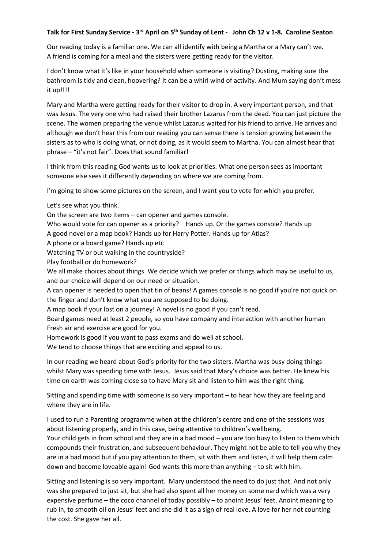## **Talk for First Sunday Service - 3 rd April on 5 th Sunday of Lent - John Ch 12 v 1-8. Caroline Seaton**

Our reading today is a familiar one. We can all identify with being a Martha or a Mary can't we. A friend is coming for a meal and the sisters were getting ready for the visitor.

I don't know what it's like in your household when someone is visiting? Dusting, making sure the bathroom is tidy and clean, hoovering? It can be a whirl wind of activity. And Mum saying don't mess it up!!!!

Mary and Martha were getting ready for their visitor to drop in. A very important person, and that was Jesus. The very one who had raised their brother Lazarus from the dead. You can just picture the scene. The women preparing the venue whilst Lazarus waited for his friend to arrive. He arrives and although we don't hear this from our reading you can sense there is tension growing between the sisters as to who is doing what, or not doing, as it would seem to Martha. You can almost hear that phrase – "it's not fair". Does that sound familiar!

I think from this reading God wants us to look at priorities. What one person sees as important someone else sees it differently depending on where we are coming from.

I'm going to show some pictures on the screen, and I want you to vote for which you prefer.

Let's see what you think.

On the screen are two items – can opener and games console.

Who would vote for can opener as a priority? Hands up. Or the games console? Hands up

A good novel or a map book? Hands up for Harry Potter. Hands up for Atlas?

A phone or a board game? Hands up etc

Watching TV or out walking in the countryside?

Play football or do homework?

We all make choices about things. We decide which we prefer or things which may be useful to us, and our choice will depend on our need or situation.

A can opener is needed to open that tin of beans! A games console is no good if you're not quick on the finger and don't know what you are supposed to be doing.

A map book if your lost on a journey! A novel is no good if you can't read.

Board games need at least 2 people, so you have company and interaction with another human Fresh air and exercise are good for you.

Homework is good if you want to pass exams and do well at school.

We tend to choose things that are exciting and appeal to us.

In our reading we heard about God's priority for the two sisters. Martha was busy doing things whilst Mary was spending time with Jesus. Jesus said that Mary's choice was better. He knew his time on earth was coming close so to have Mary sit and listen to him was the right thing.

Sitting and spending time with someone is so very important – to hear how they are feeling and where they are in life.

I used to run a Parenting programme when at the children's centre and one of the sessions was about listening properly, and in this case, being attentive to children's wellbeing.

Your child gets in from school and they are in a bad mood – you are too busy to listen to them which compounds their frustration, and subsequent behaviour. They might not be able to tell you why they are in a bad mood but if you pay attention to them, sit with them and listen, it will help them calm down and become loveable again! God wants this more than anything – to sit with him.

Sitting and listening is so very important. Mary understood the need to do just that. And not only was she prepared to just sit, but she had also spent all her money on some nard which was a very expensive perfume – the coco channel of today possibly – to anoint Jesus' feet. Anoint meaning to rub in, to smooth oil on Jesus' feet and she did it as a sign of real love. A love for her not counting the cost. She gave her all.